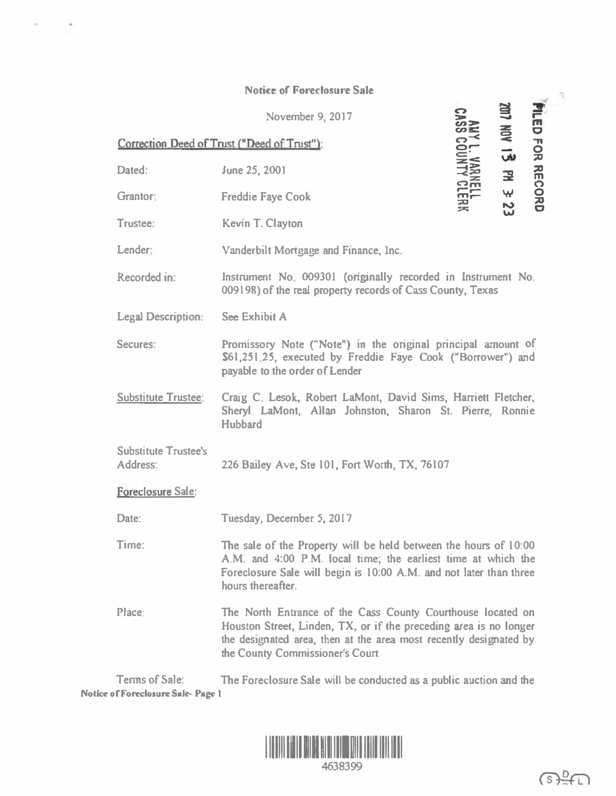## Notice of Foreclosure Sale

Correction Deed of Trust ("Deed of Trust"): November 9, 2017 Dated: June 25, 2001 Grantor: Freddie Faye Cook Trustee: Kevin T. Clayton Lender: Vanderbilt Mortgage and Finance, Inc.  $\bullet$  $55<sub>z</sub>$ en&:  $\mathbf{S}_{\mathbf{C}}$ orc:<br>S:W. ≺꽃  $\frac{2}{10}$  $\overline{z}$ 25 FILED<br>2017 NO c  $\leq$   $\pi$  $\boldsymbol{\omega}$ 0 � 고 …  $\Omega$ **w** <u>0</u> ន ឌ Recorded m. Instrument No 009301 (onginally recorded in Instrument No. 00919&) of the real property records of Cass County, Texas Legal Description: See Exhibit A Secures: Promissory Note ("Note") in the original principal amount of \$61,251 25, executed by Freddie Faye Cook ("Borrower") and payable to the order of Lender Substitute Trustee: Craig C. Lesok, Robert LaMont, David Sims, Harriett Fletcher, Sheryl LaMont, Allan Johnston, Sharon St. Pierre, Ronnie Hubbard **Substitute Trustee's** Address: 226 Bailey Ave, Ste 101, Fort Worth, TX, 76107 Foreclosure Sale: Date: Time: Place: Tuesday, December 5, 2017 The sale of the Property will be held between the hours of I 0:00 A.M. and 4:00 P.M. local time; the earliest time at which the Foreclosure Sale will begin is I 0:00 A.M. and not later than three hours thereafter. The North Entrance of the Cass County Courthouse located on Houston Street, Linden, TX, or if the preceding area is no longer the designated area, then at the area most recently designated by the County Commissioner's Court

Tenns of Sale: The Foreclosure Sale will be conducted as a public auction and the Notice of Foreclosure Sule-Page 1



";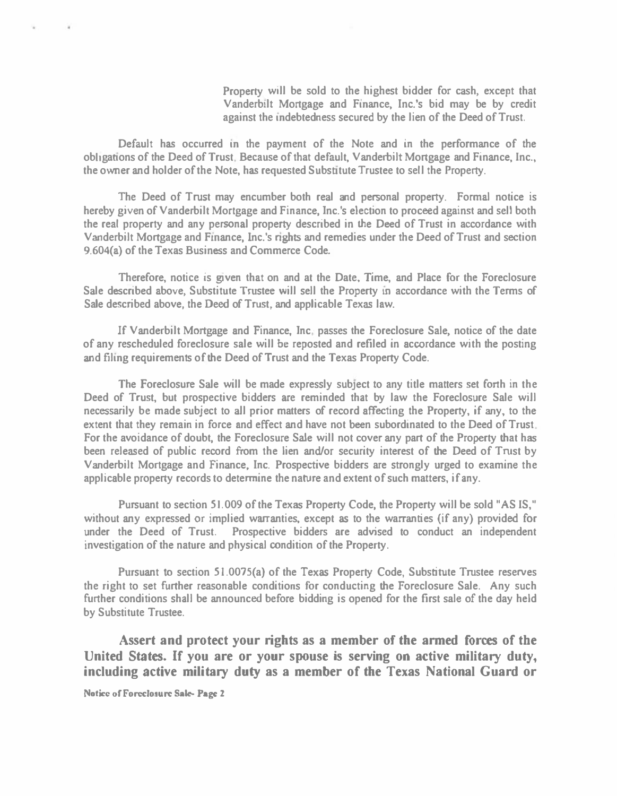Property will be sold to the highest bidder for cash, except that Vanderbilt Mortgage and Finance, Inc.'s bid may be by credit against the mdebtedness secured by the lien of the Deed of Trust.

Default has occurred in the payment of the Note and in the performance of the obhganons of the Deed of Trust Because of that default, Vanderbilt Mortgage and Finance, Inc., the owner and holder of the Note, has requested Subsntute Trustee to sell the Property.

The Deed of Trust may encumber both real and personal property. Formal notice is hereby given of Vanderbilt Mortgage and Finance, Inc.'s election to proceed against and sell both the real property and any personal property described in the Deed of Trust in accordance with Vanderbilt Mortgage and Fmance, Inc.'s nghts and remedies under the Deed of Trust and section 9.604(a) of the Texas Business and Commerce Code.

Therefore, notice is given that on and at the Date. Time, and Place for the Foreclosure Sale described above, Substitute Trustee will sell the Property in accordance with the Terms of Sale described above, the Deed of Trust, and applicable Texas law.

If Vanderbilt Mortgage and Finance, Inc. passes the Foreclosure Sale, notice of the date of any rescheduled foreclosure sale will be reposted and refiled in accordance with the posting and filmg requirements of the Deed of Trust and the Texas Property Code.

The Foreclosure Sale will be made expressly subject to any title matters set forth in the Deed of Trust, but prospective bidders are reminded that by law the Foreclosure Sale will necessarily be made subject to all prior matters of record affecting the Property, if any, to the extent that they remain in force and effect and have not been subordinated to the Deed of Trust. For the avoidance of doubt, the Foreclosure Sale will not cover any part of the Property that has been released of public record from the lien and/or security interest of the Deed of Trust by Vanderbilt Mortgage and Finance, Inc. Prospective bidders are strongly urged to examine the applicable property records to determine the nature and extent of such matters, if any.

Pursuant to section 51. 009 of the Texas Property Code, the Property will be sold "AS IS," without any expressed or implied warranties, except as to the warranties (if any) provided for under the Deed of Trust. Prospective bidders are advised to conduct an independent investigation of the nature and physical condition of the Property.

Pursuant to section 51.0075(a) of the Texas Property Code, Substitute Trustee reserves the right to set further reasonable conditions for conducting the Foreclosure Sale. Any such further conditions shall be announced before bidding is opened for the first sale of the day held by Substitute Trustee.

Assert and protect your rights as a member of the armed forces of the United States. If you are or your spouse is serving on active military duty, including active military duty as a member of the Texas National Guard or

Notice of Foreclosure Sale- Page 2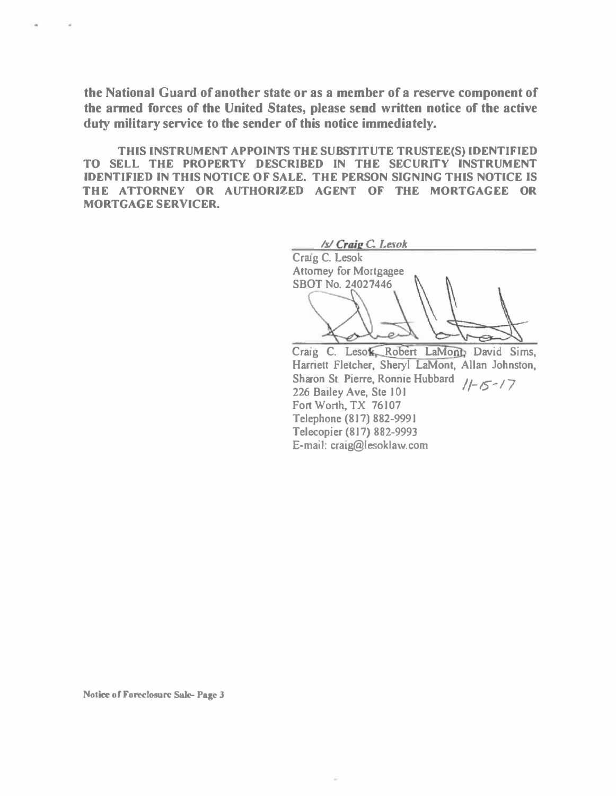the National Guard of another state or as a member of a reserve component of the armed forces of the United States, please send written notice of the active duty military service to the sender of this notice immediately.

THIS INSTRUMENT APPOINTS THE SUBSTITUTE TRUSTEE(S) IDENTIFIED TO SELL THE PROPERTY DESCRIBED IN THE SECURITY INSTRUMENT IDENTIFIED IN THIS NOTICE OF SALE. THE PERSON SIGNING THIS NOTICE IS THE ATIORNEY OR AUTHORIZED AGENT OF THE MORTGAGEE OR MORTGAGE SERVICER.

Isl Craig C Lesok Craig C. Lesok Attorney for Mortgagee SBOT No. 24027446 Craig C. Leso Robert LaMont David Sims, Harriett Fletcher, Sheryl LaMont, Allan Johnston, Sharon St. Pierre, Ronnie Hubbard  $/1-\sqrt{2}$ 226 Bailey Ave, Ste 101

Fort Worth, TX 76107 Telephone (817) 882-9991 Telecopier (817) 882-9993 E-mail: craig@lesoklaw.com

Notice of Foreclosure Sale- Page 3